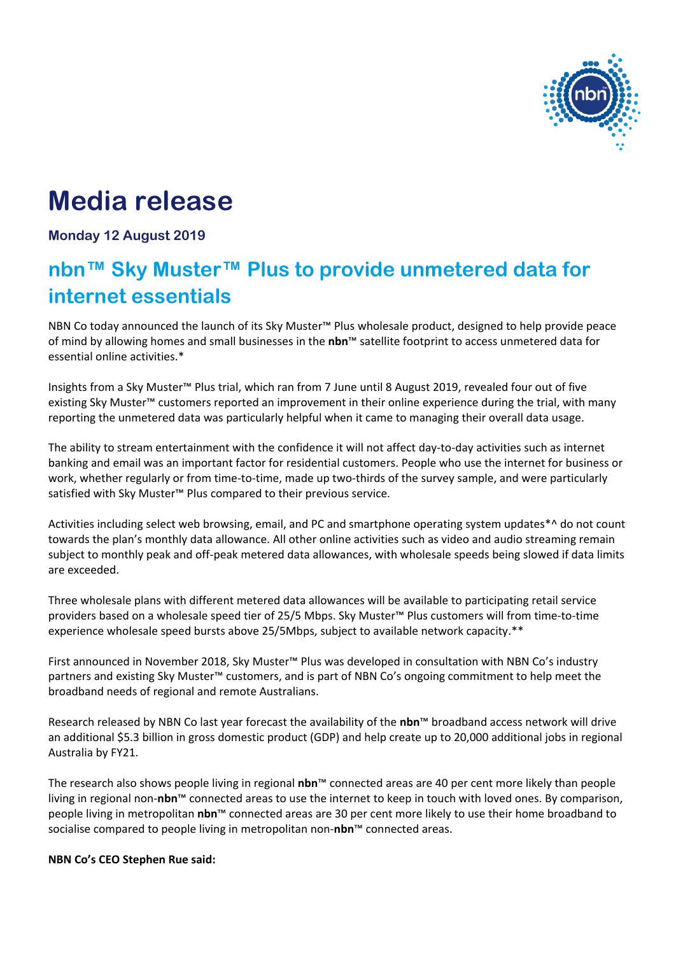

# **Media release**

## **Monday 12 August 2019**

## **nbn™ Sky Muster™ Plus to provide unmetered data for internet essentials**

NBN Co today announced the launch of its Sky Muster™ Plus wholesale product, designed to help provide peace of mind by allowing homes and small businesses in the **nbn**™ satellite footprint to access unmetered data for essential online activities.\*

Insights from a Sky Muster™ Plus trial, which ran from 7 June until 8 August 2019, revealed four out of five existing Sky Muster™ customers reported an improvement in their online experience during the trial, with many reporting the unmetered data was particularly helpful when it came to managing their overall data usage.

The ability to stream entertainment with the confidence it will not affect day-to-day activities such as internet banking and email was an important factor for residential customers. People who use the internet for business or work, whether regularly or from time-to-time, made up two-thirds of the survey sample, and were particularly satisfied with Sky Muster™ Plus compared to their previous service.

Activities including select web browsing, email, and PC and smartphone operating system updates\*^ do not count towards the plan's monthly data allowance. All other online activities such as video and audio streaming remain subject to monthly peak and off-peak metered data allowances, with wholesale speeds being slowed if data limits are exceeded.

Three wholesale plans with different metered data allowances will be available to participating retail service providers based on a wholesale speed tier of 25/5 Mbps. Sky Muster™ Plus customers will from time-to-time experience wholesale speed bursts above 25/5Mbps, subject to available network capacity.\*\*

First announced in November 2018, Sky Muster™ Plus was developed in consultation with NBN Co's industry partners and existing Sky Muster™ customers, and is part of NBN Co's ongoing commitment to help meet the broadband needs of regional and remote Australians.

Research released by NBN Co last year forecast the availability of the **nbn**™ broadband access network will drive an additional \$5.3 billion in gross domestic product (GDP) and help create up to 20,000 additional jobs in regional Australia by FY21.

The research also shows people living in regional **nbn**™ connected areas are 40 per cent more likely than people living in regional non-**nbn**™ connected areas to use the internet to keep in touch with loved ones. By comparison, people living in metropolitan **nbn**™ connected areas are 30 per cent more likely to use their home broadband to socialise compared to people living in metropolitan non-**nbn**™ connected areas.

#### **NBN Co's CEO Stephen Rue said:**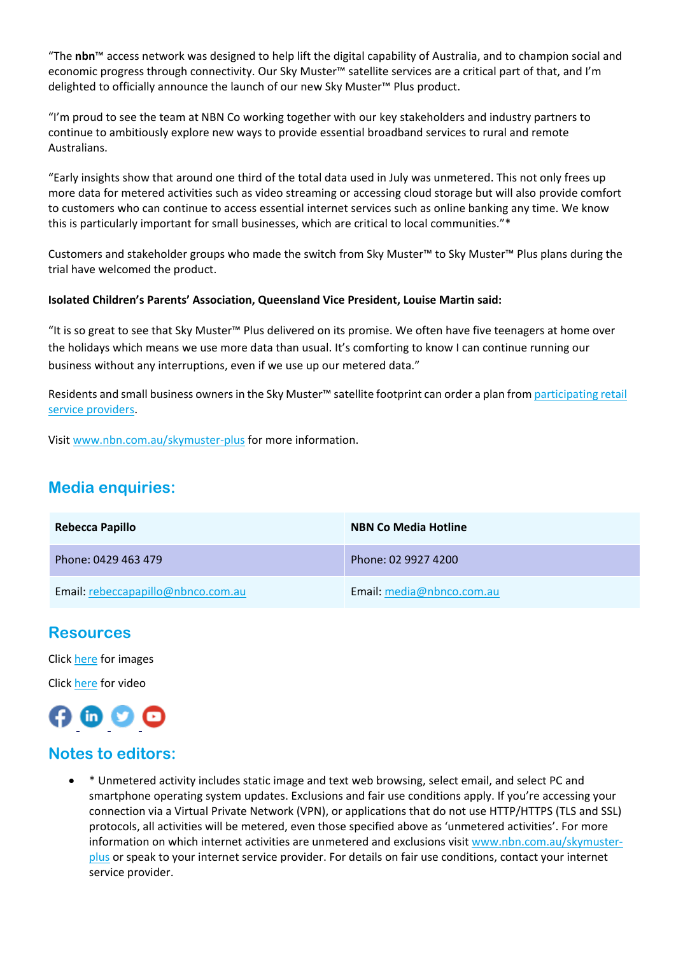"The **nbn**™ access network was designed to help lift the digital capability of Australia, and to champion social and economic progress through connectivity. Our Sky Muster™ satellite services are a critical part of that, and I'm delighted to officially announce the launch of our new Sky Muster™ Plus product.

"I'm proud to see the team at NBN Co working together with our key stakeholders and industry partners to continue to ambitiously explore new ways to provide essential broadband services to rural and remote Australians.

"Early insights show that around one third of the total data used in July was unmetered. This not only frees up more data for metered activities such as video streaming or accessing cloud storage but will also provide comfort to customers who can continue to access essential internet services such as online banking any time. We know this is particularly important for small businesses, which are critical to local communities."\*

Customers and stakeholder groups who made the switch from Sky Muster™ to Sky Muster™ Plus plans during the trial have welcomed the product.

#### **Isolated Children's Parents' Association, Queensland Vice President, Louise Martin said:**

"It is so great to see that Sky Muster™ Plus delivered on its promise. We often have five teenagers at home over the holidays which means we use more data than usual. It's comforting to know I can continue running our business without any interruptions, even if we use up our metered data."

Residents and small business owners in the Sky Muster™ satellite footprint can order a plan from participating retail [service providers.](http://www.nbnco.com.au/skymuster-providers)

Visit [www.nbn.com.au/skymuster-plus](http://www.nbn.com.au/skymuster-plus) for more information.

## **Media enquiries:**

| <b>Rebecca Papillo</b>             | <b>NBN Co Media Hotline</b> |
|------------------------------------|-----------------------------|
| Phone: 0429 463 479                | Phone: 02 9927 4200         |
| Email: rebeccapapillo@nbnco.com.au | Email: media@nbnco.com.au   |

## **Resources**

Clic[k here](https://www.dropbox.com/sh/n1e5rryquvp6sfr/AABKVjtSii9lt3ZdMhp7CeKfa?dl=0) for images

Click [here](https://www.dropbox.com/sh/n2horzuo4np5syz/AADYMk0xRhXMQYLr3cuAfOEQa?dl=0) for video



## **Notes to editors:**

 \* Unmetered activity includes static image and text web browsing, select email, and select PC and smartphone operating system updates. Exclusions and fair use conditions apply. If you're accessing your connection via a Virtual Private Network (VPN), or applications that do not use HTTP/HTTPS (TLS and SSL) protocols, all activities will be metered, even those specified above as 'unmetered activities'. For more information on which internet activities are unmetered and exclusions visit [www.nbn.com.au/skymuster](http://www.nbn.com.au/skymuster-plus)[plus](http://www.nbn.com.au/skymuster-plus) or speak to your internet service provider. For details on fair use conditions, contact your internet service provider.